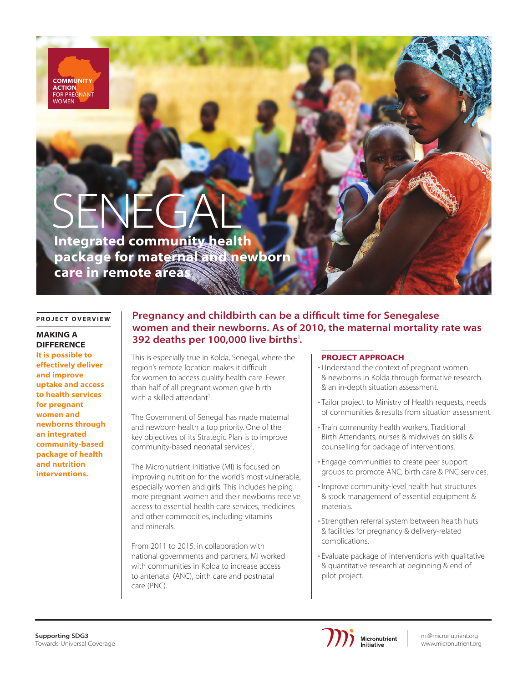**COMMUNITY ACTION** FOR PREGNANT **NOMEN** 

# SENEG

Integrated community health package for maternal and newborn care in remote areas

#### PROJECT OVERVIEW

# MAKING A **DIFFERENCE**

It is possible to effectively deliver and improve uptake and access to health services for pregnant women and newborns through an integrated community-based package of health and nutrition interventions.

# Pregnancy and childbirth can be a difficult time for Senegalese women and their newborns. As of 2010, the maternal mortality rate was 392 deaths per 100,000 live births<sup>1</sup>.

This is especially true in Kolda, Senegal, where the region's remote location makes it difficult for women to access quality health care. Fewer than half of all pregnant women give birth with a skilled attendant<sup>1</sup>.

The Government of Senegal has made maternal and newborn health a top priority. One of the key objectives of its Strategic Plan is to improve community-based neonatal services<sup>2</sup>.

The Micronutrient Initiative (MI) is focused on improving nutrition for the world's most vulnerable, especially women and girls. This includes helping more pregnant women and their newborns receive access to essential health care services, medicines and other commodities, including vitamins and minerals.

From 2011 to 2015, in collaboration with national governments and partners, MI worked with communities in Kolda to increase access to antenatal (ANC), birth care and postnatal care (PNC).

### PROJECT APPROACH

- Understand the context of pregnant women & newborns in Kolda through formative research & an in-depth situation assessment.
- Tailor project to Ministry of Health requests, needs of communities & results from situation assessment.
- Train community health workers, Traditional Birth Attendants, nurses & midwives on skills & counselling for package of interventions.
- Engage communities to create peer support groups to promote ANC, birth care & PNC services.
- Improve community-level health hut structures & stock management of essential equipment & materials.
- Strengthen referral system between health huts & facilities for pregnancy & delivery-related complications.
- Evaluate package of interventions with qualitative & quantitative research at beginning & end of pilot project.